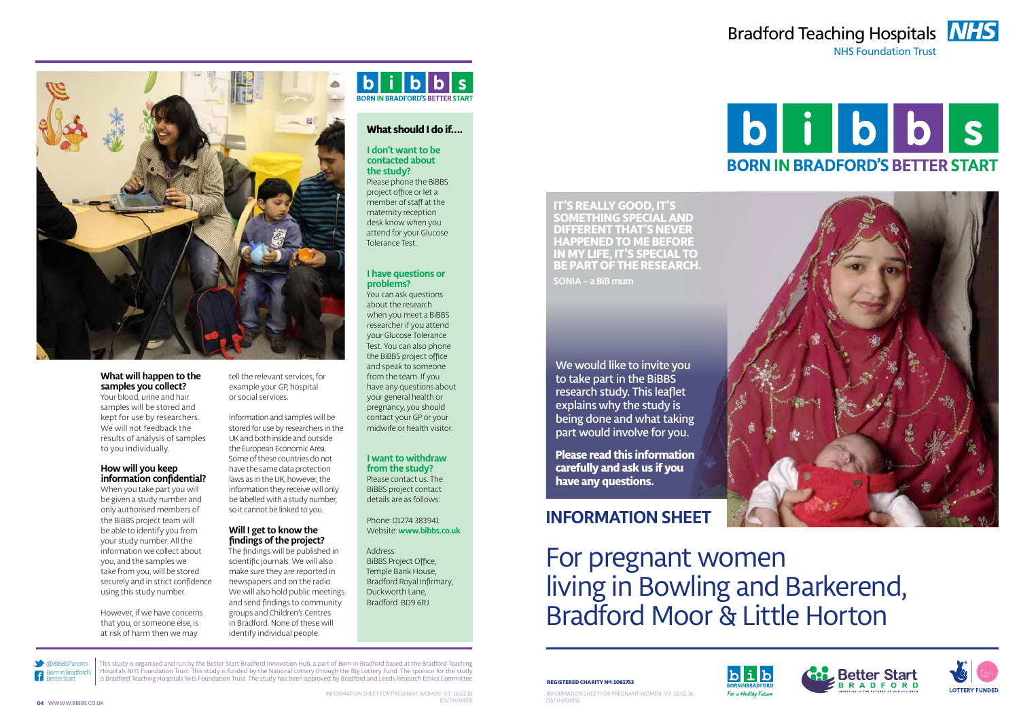

NHS Foundation Trust









@BiBBSParents Born in Bradford's Better Start

 $\vert f \vert$ 

This study is organised and run by the Better Start Bradford Innovation Hub, a part of Born in Bradford based at the Bradford Teaching Hospitals NHS Foundation Trust. This study is funded by the National Lottery through the Big Lottery Fund. The sponsor for the study

## $b|i|b|b|s$

Your blood, urine and hair samples will be stored and kept for use by researchers. We will not feedback the results of analysis of samples to you individually.

> Informationsheet for Pregnant women v3 16.02.16 (15/YH/0455)





#### **What will happen to the samples you collect?**

#### **How will you keep information confidential?**

When you take part you will be given a study number and only authorised members of the BiBBS project team will be able to identify you from your study number. All the information we collect about you, and the samples we take from you, will be stored securely and in strict confidence using this study number.

However, if we have concerns that you, or someone else, is at risk of harm then we may

#### tell the relevant services, for example your GP, hospital or social services.

Information and samples will be stored for use by researchers in the UK and both inside and outside the European Economic Area. Some of these countries do not have the same data protection laws as in the UK, however, the information they receive will only be labelled with a study number, so it cannot be linked to you.

#### **Will I get to know the findings of the project?**

The findings will be published in scientific journals. We will also make sure they are reported in newspapers and on the radio. We will also hold public meetings and send findings to community groups and Children's Centres in Bradford. None of these will identify individual people.

#### **What should I do if….**

**I don't want to be contacted about the study?**  Please phone the BiBBS project office or let a member of staff at the maternity reception desk know when you attend for your Glucose Tolerance Test.

#### **I have questions or problems?**

You can ask questions about the research when you meet a BiBBS researcher if you attend your Glucose Tolerance Test. You can also phone the BiBBS project office and speak to someone from the team. If you have any questions about your general health or pregnancy, you should contact your GP or your midwife or health visitor.

#### **I want to withdraw from the study?**

Please contact us. The BiBBS project contact details are as follows:

Phone: 01274 383941 Website: **www.bibbs.co.uk**

Address: BiBBS Project Office, Temple Bank House, Bradford Royal Infirmary, Duckworth Lane, Bradford BD9 6RJ



We would like to invite you to take part in the BiBBS research study. This leaflet explains why the study is being done and what taking part would involve for you.

**Please read this information carefully and ask us if you have any questions.**

## **Information sheet**

For pregnant women living in Bowling and Barkerend, Bradford Moor & Little Horton



#### is Bradford Teaching Hospitals NHS Foundation Trust. The study has been approved by Bradford and Leeds Research Ethics Committee. **Registed by Register of Larity No: 1061753**

**it's really good, it's something special and different that's never happened to me before in my life, it's special to be part of the research.**

**Sonia – a BiB mum**